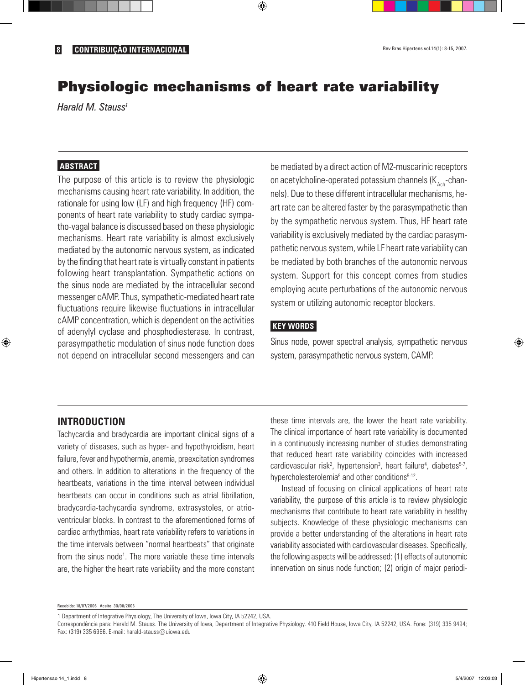# Physiologic mechanisms of heart rate variability

⊕

*Harald M. Stauss1*

## **ABSTRACT**

The purpose of this article is to review the physiologic mechanisms causing heart rate variability. In addition, the rationale for using low (LF) and high frequency (HF) components of heart rate variability to study cardiac sympatho-vagal balance is discussed based on these physiologic mechanisms. Heart rate variability is almost exclusively mediated by the autonomic nervous system, as indicated by the finding that heart rate is virtually constant in patients following heart transplantation. Sympathetic actions on the sinus node are mediated by the intracellular second messenger cAMP. Thus, sympathetic-mediated heart rate fluctuations require likewise fluctuations in intracellular cAMP concentration, which is dependent on the activities of adenylyl cyclase and phosphodiesterase. In contrast, parasympathetic modulation of sinus node function does not depend on intracellular second messengers and can be mediated by a direct action of M2-muscarinic receptors on acetylcholine-operated potassium channels  $(K_{\text{A}ch}$ -channels). Due to these different intracellular mechanisms, heart rate can be altered faster by the parasympathetic than by the sympathetic nervous system. Thus, HF heart rate variability is exclusively mediated by the cardiac parasympathetic nervous system, while LF heart rate variability can be mediated by both branches of the autonomic nervous system. Support for this concept comes from studies employing acute perturbations of the autonomic nervous system or utilizing autonomic receptor blockers.

### **KEY WORDS**

Sinus node, power spectral analysis, sympathetic nervous system, parasympathetic nervous system, CAMP.

#### **INTRODUCTION**

◈

Tachycardia and bradycardia are important clinical signs of a variety of diseases, such as hyper- and hypothyroidism, heart failure, fever and hypothermia, anemia, preexcitation syndromes and others. In addition to alterations in the frequency of the heartbeats, variations in the time interval between individual heartbeats can occur in conditions such as atrial fibrillation, bradycardia-tachycardia syndrome, extrasystoles, or atrioventricular blocks. In contrast to the aforementioned forms of cardiac arrhythmias, heart rate variability refers to variations in the time intervals between "normal heartbeats" that originate from the sinus node<sup>1</sup>. The more variable these time intervals are, the higher the heart rate variability and the more constant

these time intervals are, the lower the heart rate variability. The clinical importance of heart rate variability is documented in a continuously increasing number of studies demonstrating that reduced heart rate variability coincides with increased cardiovascular risk<sup>2</sup>, hypertension<sup>3</sup>, heart failure<sup>4</sup>, diabetes<sup>5-7</sup>, hypercholesterolemia<sup>8</sup> and other conditions<sup>9-12</sup>.

Instead of focusing on clinical applications of heart rate variability, the purpose of this article is to review physiologic mechanisms that contribute to heart rate variability in healthy subjects. Knowledge of these physiologic mechanisms can provide a better understanding of the alterations in heart rate variability associated with cardiovascular diseases. Specifically, the following aspects will be addressed: (1) effects of autonomic innervation on sinus node function; (2) origin of major periodi-

Recebido: 18/07/2006 Aceito: 30/08/2006

1 Department of Integrative Physiology, The University of Iowa, Iowa City, IA 52242, USA.

Correspondência para: Harald M. Stauss. The University of Iowa, Department of Integrative Physiology. 410 Field House, Iowa City, IA 52242, USA. Fone: (319) 335 9494; Fax: (319) 335 6966. E-mail: harald-stauss@uiowa.edu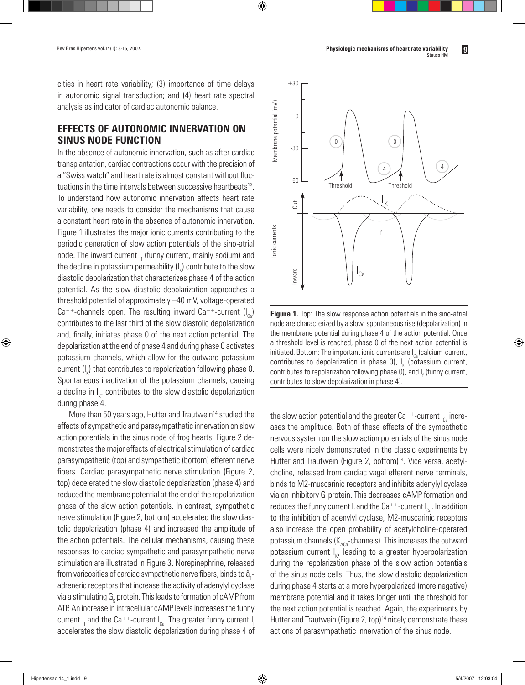cities in heart rate variability; (3) importance of time delays in autonomic signal transduction; and (4) heart rate spectral analysis as indicator of cardiac autonomic balance.

 $\bigoplus$ 

# **EFFECTS OF AUTONOMIC INNERVATION ON SINUS NODE FUNCTION**

In the absence of autonomic innervation, such as after cardiac transplantation, cardiac contractions occur with the precision of a "Swiss watch" and heart rate is almost constant without fluctuations in the time intervals between successive heartbeats13. To understand how autonomic innervation affects heart rate variability, one needs to consider the mechanisms that cause a constant heart rate in the absence of autonomic innervation. Figure 1 illustrates the major ionic currents contributing to the periodic generation of slow action potentials of the sino-atrial node. The inward current I<sub>f</sub> (funny current, mainly sodium) and the decline in potassium permeability (l<sub>k</sub>) contribute to the slow diastolic depolarization that characterizes phase 4 of the action potential. As the slow diastolic depolarization approaches a threshold potential of approximately –40 mV, voltage-operated  $Ca^{++}$ -channels open. The resulting inward  $Ca^{++}$ -current  $(I_{\alpha})$ contributes to the last third of the slow diastolic depolarization and, finally, initiates phase 0 of the next action potential. The depolarization at the end of phase 4 and during phase 0 activates potassium channels, which allow for the outward potassium current (I<sub>K</sub>) that contributes to repolarization following phase 0. Spontaneous inactivation of the potassium channels, causing a decline in l<sub>k</sub>, contributes to the slow diastolic depolarization during phase 4.

More than 50 years ago, Hutter and Trautwein<sup>14</sup> studied the effects of sympathetic and parasympathetic innervation on slow action potentials in the sinus node of frog hearts. Figure 2 demonstrates the major effects of electrical stimulation of cardiac parasympathetic (top) and sympathetic (bottom) efferent nerve fibers. Cardiac parasympathetic nerve stimulation (Figure 2, top) decelerated the slow diastolic depolarization (phase 4) and reduced the membrane potential at the end of the repolarization phase of the slow action potentials. In contrast, sympathetic nerve stimulation (Figure 2, bottom) accelerated the slow diastolic depolarization (phase 4) and increased the amplitude of the action potentials. The cellular mechanisms, causing these responses to cardiac sympathetic and parasympathetic nerve stimulation are illustrated in Figure 3. Norepinephrine, released from varicosities of cardiac sympathetic nerve fibers, binds to â<sub>1</sub>adreneric receptors that increase the activity of adenylyl cyclase via a stimulating  ${\sf G}_{_{\rm S}}$  protein. This leads to formation of cAMP from ATP. An increase in intracellular cAMP levels increases the funny current I<sub>f</sub> and the Ca<sup>++</sup>-current I<sub>ca</sub>. The greater funny current I<sub>f</sub> accelerates the slow diastolic depolarization during phase 4 of



**Figure 1.** Top: The slow response action potentials in the sino-atrial node are characterized by a slow, spontaneous rise (depolarization) in the membrane potential during phase 4 of the action potential. Once a threshold level is reached, phase 0 of the next action potential is initiated. Bottom: The important ionic currents are  $I_{\text{eq}}$  (calcium-current, contributes to depolarization in phase 0),  $I_{\kappa}$  (potassium current, contributes to repolarization following phase 0), and l<sub>f</sub> (funny current,

the slow action potential and the greater Ca<sup>++</sup>-current  $I_{\alpha}$  increases the amplitude. Both of these effects of the sympathetic nervous system on the slow action potentials of the sinus node cells were nicely demonstrated in the classic experiments by Hutter and Trautwein (Figure 2, bottom)<sup>14</sup>. Vice versa, acetylcholine, released from cardiac vagal efferent nerve terminals, binds to M2-muscarinic receptors and inhibits adenylyl cyclase via an inhibitory G<sub>I</sub> protein. This decreases cAMP formation and reduces the funny current I<sub>f</sub> and the Ca++-current I<sub>ca</sub>. In addition to the inhibition of adenylyl cyclase, M2-muscarinic receptors also increase the open probability of acetylcholine-operated potassium channels  $(K<sub>ACh</sub>-channels)$ . This increases the outward potassium current l<sub>k</sub>, leading to a greater hyperpolarization during the repolarization phase of the slow action potentials of the sinus node cells. Thus, the slow diastolic depolarization during phase 4 starts at a more hyperpolarized (more negative) membrane potential and it takes longer until the threshold for the next action potential is reached. Again, the experiments by Hutter and Trautwein (Figure 2, top)<sup>14</sup> nicely demonstrate these actions of parasympathetic innervation of the sinus node.

◈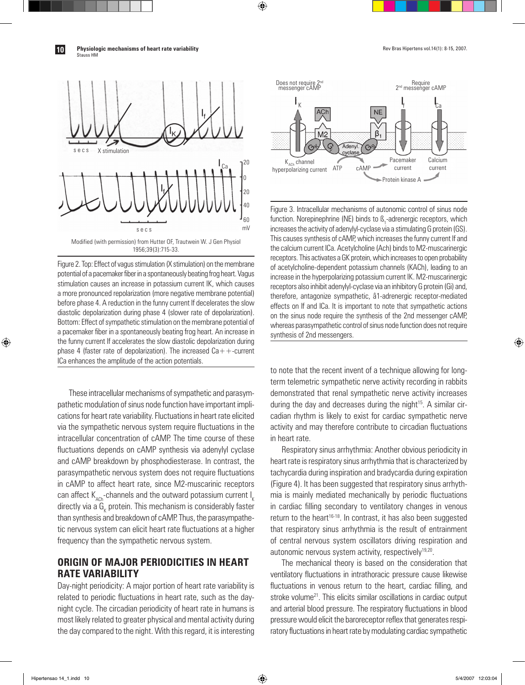◈

**10** Physiologic mechanisms of heart rate variability<br> **10** Physiologic mechanisms of heart rate variability Stauss HM



Figure 2. Top: Effect of vagus stimulation (X stimulation) on the membrane potential of a pacemaker fiber in a spontaneously beating frog heart. Vagus stimulation causes an increase in potassium current IK, which causes a more pronounced repolarization (more negative membrane potential) before phase 4. A reduction in the funny current If decelerates the slow diastolic depolarization during phase 4 (slower rate of depolarization). Bottom: Effect of sympathetic stimulation on the membrane potential of a pacemaker fiber in a spontaneously beating frog heart. An increase in the funny current If accelerates the slow diastolic depolarization during phase 4 (faster rate of depolarization). The increased  $Ca++-current$ ICa enhances the amplitude of the action potentials.

These intracellular mechanisms of sympathetic and parasympathetic modulation of sinus node function have important implications for heart rate variability. Fluctuations in heart rate elicited via the sympathetic nervous system require fluctuations in the intracellular concentration of cAMP. The time course of these fluctuations depends on cAMP synthesis via adenylyl cyclase and cAMP breakdown by phosphodiesterase. In contrast, the parasympathetic nervous system does not require fluctuations in cAMP to affect heart rate, since M2-muscarinic receptors can affect  $K_{\text{ACD}}$ -channels and the outward potassium current  $I_{K}$ directly via a  $\mathsf{G}_\kappa$  protein. This mechanism is considerably faster than synthesis and breakdown of cAMP. Thus, the parasympathetic nervous system can elicit heart rate fluctuations at a higher frequency than the sympathetic nervous system.

# **ORIGIN OF MAJOR PERIODICITIES IN HEART RATE VARIABILITY**

Day-night periodicity: A major portion of heart rate variability is related to periodic fluctuations in heart rate, such as the daynight cycle. The circadian periodicity of heart rate in humans is most likely related to greater physical and mental activity during the day compared to the night. With this regard, it is interesting



 $\bigoplus$ 

Figure 3. Intracellular mechanisms of autonomic control of sinus node function. Norepinephrine (NE) binds to ß<sub>1</sub>-adrenergic receptors, which increases the activity of adenylyl-cyclase via a stimulating G protein (GS). This causes synthesis of cAMP, which increases the funny current If and the calcium current ICa. Acetylcholine (Ach) binds to M2-muscarinergic receptors. This activates a GK protein, which increases to open probability of acetylcholine-dependent potassium channels (KACh), leading to an increase in the hyperpolarizing potassium current IK. M2-muscarinergic receptors also inhibit adenylyl-cyclase via an inhibitory G protein (Gi) and, therefore, antagonize sympathetic, â1-adrenergic receptor-mediated effects on If and ICa. It is important to note that sympathetic actions on the sinus node require the synthesis of the 2nd messenger cAMP, whereas parasympathetic control of sinus node function does not require synthesis of 2nd messengers.

to note that the recent invent of a technique allowing for longterm telemetric sympathetic nerve activity recording in rabbits demonstrated that renal sympathetic nerve activity increases during the day and decreases during the night $15$ . A similar circadian rhythm is likely to exist for cardiac sympathetic nerve activity and may therefore contribute to circadian fluctuations in heart rate.

Respiratory sinus arrhythmia: Another obvious periodicity in heart rate is respiratory sinus arrhythmia that is characterized by tachycardia during inspiration and bradycardia during expiration (Figure 4). It has been suggested that respiratory sinus arrhythmia is mainly mediated mechanically by periodic fluctuations in cardiac filling secondary to ventilatory changes in venous return to the heart<sup>16-18</sup>. In contrast, it has also been suggested that respiratory sinus arrhythmia is the result of entrainment of central nervous system oscillators driving respiration and autonomic nervous system activity, respectively<sup>19,20</sup>.

The mechanical theory is based on the consideration that ventilatory fluctuations in intrathoracic pressure cause likewise fluctuations in venous return to the heart, cardiac filling, and stroke volume<sup>21</sup>. This elicits similar oscillations in cardiac output and arterial blood pressure. The respiratory fluctuations in blood pressure would elicit the baroreceptor reflex that generates respiratory fluctuations in heart rate by modulating cardiac sympathetic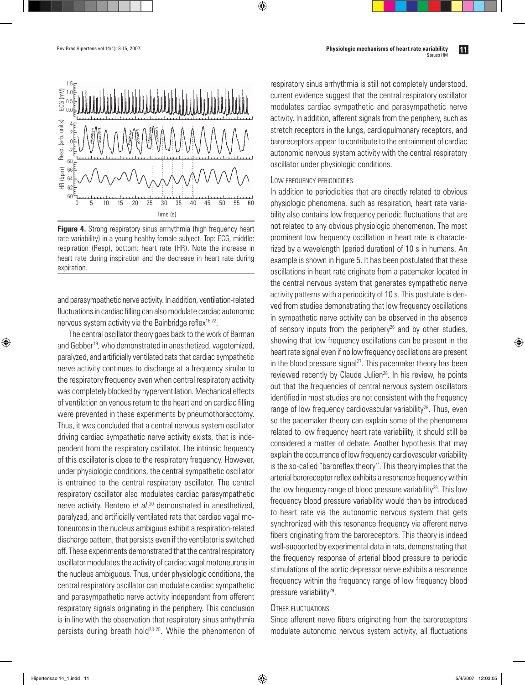

**Figure 4.** Strong respiratory sinus arrhythmia (high frequency heart rate variability) in a young healthy female subject. Top: ECG, middle: respiration (Resp), bottom: heart rate (HR). Note the increase in heart rate during inspiration and the decrease in heart rate during expiration.

and parasympathetic nerve activity. In addition, ventilation-related fluctuations in cardiac filling can also modulate cardiac autonomic nervous system activity via the Bainbridge reflex<sup>16,22</sup>.

The central oscillator theory goes back to the work of Barman and Gebber<sup>19</sup>, who demonstrated in anesthetized, vagotomized, paralyzed, and artificially ventilated cats that cardiac sympathetic nerve activity continues to discharge at a frequency similar to the respiratory frequency even when central respiratory activity was completely blocked by hyperventilation. Mechanical effects of ventilation on venous return to the heart and on cardiac filling were prevented in these experiments by pneumothoracotomy. Thus, it was concluded that a central nervous system oscillator driving cardiac sympathetic nerve activity exists, that is independent from the respiratory oscillator. The intrinsic frequency of this oscillator is close to the respiratory frequency. However, under physiologic conditions, the central sympathetic oscillator is entrained to the central respiratory oscillator. The central respiratory oscillator also modulates cardiac parasympathetic nerve activity. Rentero *et al*. 20 demonstrated in anesthetized, paralyzed, and artificially ventilated rats that cardiac vagal motoneurons in the nucleus ambiguus exhibit a respiration-related discharge pattern, that persists even if the ventilator is switched off. These experiments demonstrated that the central respiratory oscillator modulates the activity of cardiac vagal motoneurons in the nucleus ambiguous. Thus, under physiologic conditions, the central respiratory oscillator can modulate cardiac sympathetic and parasympathetic nerve activity independent from afferent respiratory signals originating in the periphery. This conclusion is in line with the observation that respiratory sinus arrhythmia persists during breath hold<sup>23-25</sup>. While the phenomenon of

respiratory sinus arrhythmia is still not completely understood, current evidence suggest that the central respiratory oscillator modulates cardiac sympathetic and parasympathetic nerve activity. In addition, afferent signals from the periphery, such as stretch receptors in the lungs, cardiopulmonary receptors, and baroreceptors appear to contribute to the entrainment of cardiac autonomic nervous system activity with the central respiratory oscillator under physiologic conditions.

#### LOW FREQUENCY PERIODICITIES

 $\bigoplus$ 

In addition to periodicities that are directly related to obvious physiologic phenomena, such as respiration, heart rate variability also contains low frequency periodic fluctuations that are not related to any obvious physiologic phenomenon. The most prominent low frequency oscillation in heart rate is characterized by a wavelength (period duration) of 10 s in humans. An example is shown in Figure 5. It has been postulated that these oscillations in heart rate originate from a pacemaker located in the central nervous system that generates sympathetic nerve activity patterns with a periodicity of 10 s. This postulate is derived from studies demonstrating that low frequency oscillations in sympathetic nerve activity can be observed in the absence of sensory inputs from the periphery<sup>26</sup> and by other studies, showing that low frequency oscillations can be present in the heart rate signal even if no low frequency oscillations are present in the blood pressure signal<sup>27</sup>. This pacemaker theory has been reviewed recently by Claude Julien<sup>28</sup>. In his review, he points out that the frequencies of central nervous system oscillators identified in most studies are not consistent with the frequency range of low frequency cardiovascular variability<sup>28</sup>. Thus, even so the pacemaker theory can explain some of the phenomena related to low frequency heart rate variability, it should still be considered a matter of debate. Another hypothesis that may explain the occurrence of low frequency cardiovascular variability is the so-called "baroreflex theory". This theory implies that the arterial baroreceptor reflex exhibits a resonance frequency within the low frequency range of blood pressure variability $28$ . This low frequency blood pressure variability would then be introduced to heart rate via the autonomic nervous system that gets synchronized with this resonance frequency via afferent nerve fibers originating from the baroreceptors. This theory is indeed well-supported by experimental data in rats, demonstrating that the frequency response of arterial blood pressure to periodic stimulations of the aortic depressor nerve exhibits a resonance frequency within the frequency range of low frequency blood pressure variability<sup>29</sup>.

#### OTHER FLUCTUATIONS

Since afferent nerve fibers originating from the baroreceptors modulate autonomic nervous system activity, all fluctuations

◈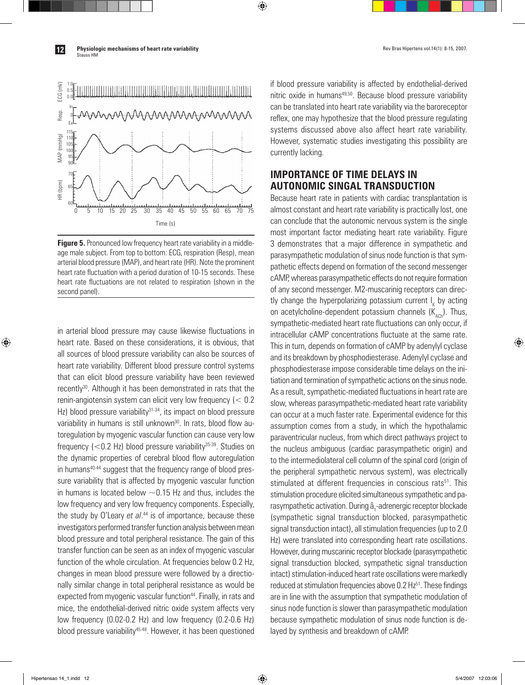**Physiologic mechanisms of heart rate variability**<br> **12** Physiologic mechanisms of heart rate variability Stauss HM



**Figure 5.** Pronounced low frequency heart rate variability in a middleage male subject. From top to bottom: ECG, respiration (Resp), mean arterial blood pressure (MAP), and heart rate (HR). Note the prominent heart rate fluctuation with a period duration of 10-15 seconds. These heart rate fluctuations are not related to respiration (shown in the second panel).

in arterial blood pressure may cause likewise fluctuations in heart rate. Based on these considerations, it is obvious, that all sources of blood pressure variability can also be sources of heart rate variability. Different blood pressure control systems that can elicit blood pressure variability have been reviewed recently<sup>30</sup>. Although it has been demonstrated in rats that the renin-angiotensin system can elicit very low frequency (< 0.2 Hz) blood pressure variability<sup>31-34</sup>, its impact on blood pressure variability in humans is still unknown<sup>30</sup>. In rats, blood flow autoregulation by myogenic vascular function can cause very low frequency  $\left($  < 0.2 Hz) blood pressure variability<sup>35-39</sup>. Studies on the dynamic properties of cerebral blood flow autoregulation in humans<sup>40-44</sup> suggest that the frequency range of blood pressure variability that is affected by myogenic vascular function in humans is located below  $\sim$  0.15 Hz and thus, includes the low frequency and very low frequency components. Especially, the study by O'Leary *et al*. 44 is of importance, because these investigators performed transfer function analysis between mean blood pressure and total peripheral resistance. The gain of this transfer function can be seen as an index of myogenic vascular function of the whole circulation. At frequencies below 0.2 Hz, changes in mean blood pressure were followed by a directionally similar change in total peripheral resistance as would be expected from myogenic vascular function<sup>44</sup>. Finally, in rats and mice, the endothelial-derived nitric oxide system affects very low frequency (0.02-0.2 Hz) and low frequency (0.2-0.6 Hz) blood pressure variability<sup>45-48</sup>. However, it has been questioned

if blood pressure variability is affected by endothelial-derived nitric oxide in humans<sup>49,50</sup>. Because blood pressure variability can be translated into heart rate variability via the baroreceptor reflex, one may hypothesize that the blood pressure regulating systems discussed above also affect heart rate variability. However, systematic studies investigating this possibility are currently lacking.

# **IMPORTANCE OF TIME DELAYS IN AUTONOMIC SINGAL TRANSDUCTION**

 $\bigoplus$ 

Because heart rate in patients with cardiac transplantation is almost constant and heart rate variability is practically lost, one can conclude that the autonomic nervous system is the single most important factor mediating heart rate variability. Figure 3 demonstrates that a major difference in sympathetic and parasympathetic modulation of sinus node function is that sympathetic effects depend on formation of the second messenger cAMP, whereas parasympathetic effects do not require formation of any second messenger. M2-muscarinig receptors can directly change the hyperpolarizing potassium current  $I_{\kappa}$  by acting on acetylcholine-dependent potassium channels  $(K_{\text{act}})$ . Thus, sympathetic-mediated heart rate fluctuations can only occur, if intracellular cAMP concentrations fluctuate at the same rate. This in turn, depends on formation of cAMP by adenylyl cyclase and its breakdown by phosphodiesterase. Adenylyl cyclase and phosphodiesterase impose considerable time delays on the initiation and termination of sympathetic actions on the sinus node. As a result, sympathetic-mediated fluctuations in heart rate are slow, whereas parasympathetic-mediated heart rate variability can occur at a much faster rate. Experimental evidence for this assumption comes from a study, in which the hypothalamic paraventricular nucleus, from which direct pathways project to the nucleus ambiguous (cardiac parasympathetic origin) and to the intermediolateral cell column of the spinal cord (origin of the peripheral sympathetic nervous system), was electrically stimulated at different frequencies in conscious rats<sup>51</sup>. This stimulation procedure elicited simultaneous sympathetic and parasympathetic activation. During â<sub>1</sub>-adrenergic receptor blockade (sympathetic signal transduction blocked, parasympathetic signal transduction intact), all stimulation frequencies (up to 2.0 Hz) were translated into corresponding heart rate oscillations. However, during muscarinic receptor blockade (parasympathetic signal transduction blocked, sympathetic signal transduction intact) stimulation-induced heart rate oscillations were markedly reduced at stimulation frequencies above 0.2 Hz<sup>51</sup>. These findings are in line with the assumption that sympathetic modulation of sinus node function is slower than parasympathetic modulation because sympathetic modulation of sinus node function is delayed by synthesis and breakdown of cAMP.

◈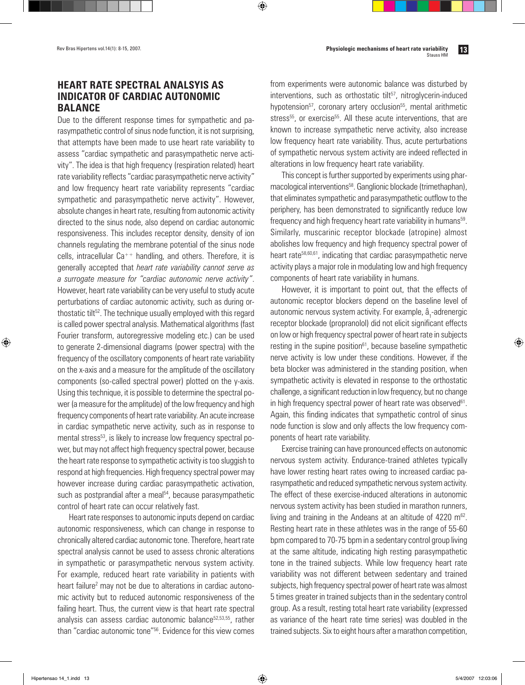# **HEART RATE SPECTRAL ANALSYIS AS INDICATOR OF CARDIAC AUTONOMIC BALANCE**

Due to the different response times for sympathetic and parasympathetic control of sinus node function, it is not surprising, that attempts have been made to use heart rate variability to assess "cardiac sympathetic and parasympathetic nerve activity". The idea is that high frequency (respiration related) heart rate variability reflects "cardiac parasympathetic nerve activity" and low frequency heart rate variability represents "cardiac sympathetic and parasympathetic nerve activity". However, absolute changes in heart rate, resulting from autonomic activity directed to the sinus node, also depend on cardiac autonomic responsiveness. This includes receptor density, density of ion channels regulating the membrane potential of the sinus node cells, intracellular Ca++ handling, and others. Therefore, it is generally accepted that *heart rate variability cannot serve as a surrogate measure for "cardiac autonomic nerve activity"*. However, heart rate variability can be very useful to study acute perturbations of cardiac autonomic activity, such as during orthostatic tilt<sup>52</sup>. The technique usually employed with this regard is called power spectral analysis. Mathematical algorithms (fast Fourier transform, autoregressive modeling etc.) can be used to generate 2-dimensional diagrams (power spectra) with the frequency of the oscillatory components of heart rate variability on the x-axis and a measure for the amplitude of the oscillatory components (so-called spectral power) plotted on the y-axis. Using this technique, it is possible to determine the spectral power (a measure for the amplitude) of the low frequency and high frequency components of heart rate variability. An acute increase in cardiac sympathetic nerve activity, such as in response to mental stress<sup>53</sup>, is likely to increase low frequency spectral power, but may not affect high frequency spectral power, because the heart rate response to sympathetic activity is too sluggish to respond at high frequencies. High frequency spectral power may however increase during cardiac parasympathetic activation, such as postprandial after a meal<sup>54</sup>, because parasympathetic control of heart rate can occur relatively fast.

Heart rate responses to autonomic inputs depend on cardiac autonomic responsiveness, which can change in response to chronically altered cardiac autonomic tone. Therefore, heart rate spectral analysis cannot be used to assess chronic alterations in sympathetic or parasympathetic nervous system activity. For example, reduced heart rate variability in patients with heart failure<sup>2</sup> may not be due to alterations in cardiac autonomic activity but to reduced autonomic responsiveness of the failing heart. Thus, the current view is that heart rate spectral analysis can assess cardiac autonomic balance<sup>52,53,55</sup>, rather than "cardiac autonomic tone"56. Evidence for this view comes

from experiments were autonomic balance was disturbed by  $interv$ entions, such as orthostatic tilt $57$ , nitroglycerin-induced hypotension<sup>57</sup>, coronary artery occlusion<sup>55</sup>, mental arithmetic stress<sup>55</sup>, or exercise<sup>55</sup>. All these acute interventions, that are known to increase sympathetic nerve activity, also increase low frequency heart rate variability. Thus, acute perturbations of sympathetic nervous system activity are indeed reflected in alterations in low frequency heart rate variability.

⊕

This concept is further supported by experiments using pharmacological interventions<sup>58</sup>. Ganglionic blockade (trimethaphan), that eliminates sympathetic and parasympathetic outflow to the periphery, has been demonstrated to significantly reduce low frequency and high frequency heart rate variability in humans<sup>59</sup>. Similarly, muscarinic receptor blockade (atropine) almost abolishes low frequency and high frequency spectral power of heart rate58,60,61, indicating that cardiac parasympathetic nerve activity plays a major role in modulating low and high frequency components of heart rate variability in humans.

However, it is important to point out, that the effects of autonomic receptor blockers depend on the baseline level of autonomic nervous system activity. For example, â<sub>1</sub>-adrenergic receptor blockade (propranolol) did not elicit significant effects on low or high frequency spectral power of heart rate in subjects resting in the supine position $61$ , because baseline sympathetic nerve activity is low under these conditions. However, if the beta blocker was administered in the standing position, when sympathetic activity is elevated in response to the orthostatic challenge, a significant reduction in low frequency, but no change in high frequency spectral power of heart rate was observed $61$ . Again, this finding indicates that sympathetic control of sinus node function is slow and only affects the low frequency components of heart rate variability.

Exercise training can have pronounced effects on autonomic nervous system activity. Endurance-trained athletes typically have lower resting heart rates owing to increased cardiac parasympathetic and reduced sympathetic nervous system activity. The effect of these exercise-induced alterations in autonomic nervous system activity has been studied in marathon runners, living and training in the Andeans at an altitude of 4220 m<sup>62</sup>. Resting heart rate in these athletes was in the range of 55-60 bpm compared to 70-75 bpm in a sedentary control group living at the same altitude, indicating high resting parasympathetic tone in the trained subjects. While low frequency heart rate variability was not different between sedentary and trained subjects, high frequency spectral power of heart rate was almost 5 times greater in trained subjects than in the sedentary control group. As a result, resting total heart rate variability (expressed as variance of the heart rate time series) was doubled in the trained subjects. Six to eight hours after a marathon competition,

◈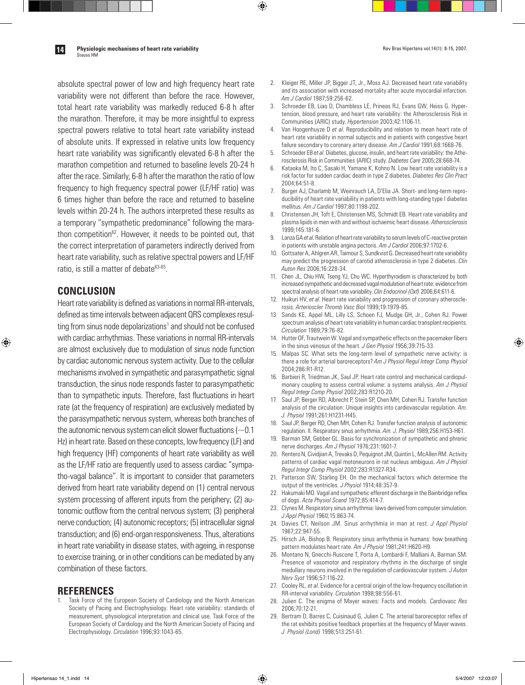**Physiologic mechanisms of heart rate variability**<br> **14.** Physiologic mechanisms of heart rate variability<br> **14.** Physiologic mechanisms of heart rate variability

Stauss HM

absolute spectral power of low and high frequency heart rate variability were not different than before the race. However, total heart rate variability was markedly reduced 6-8 h after the marathon. Therefore, it may be more insightful to express spectral powers relative to total heart rate variability instead of absolute units. If expressed in relative units low frequency heart rate variability was significantly elevated 6-8 h after the marathon competition and returned to baseline levels 20-24 h after the race. Similarly, 6-8 h after the marathon the ratio of low frequency to high frequency spectral power (LF/HF ratio) was 6 times higher than before the race and returned to baseline levels within 20-24 h. The authors interpreted these results as a temporary "sympathetic predominance" following the marathon competition<sup>62</sup>. However, it needs to be pointed out, that the correct interpretation of parameters indirectly derived from heart rate variability, such as relative spectral powers and LF/HF ratio, is still a matter of debate<sup>63-65</sup>.

### **CONCLUSION**

◈

Heart rate variability is defined as variations in normal RR-intervals, defined as time intervals between adjacent QRS complexes resulting from sinus node depolarizations<sup>1</sup> and should not be confused with cardiac arrhythmias. These variations in normal RR-intervals are almost exclusively due to modulation of sinus node function by cardiac autonomic nervous system activity. Due to the cellular mechanisms involved in sympathetic and parasympathetic signal transduction, the sinus node responds faster to parasympathetic than to sympathetic inputs. Therefore, fast fluctuations in heart rate (at the frequency of respiration) are exclusively mediated by the parasympathetic nervous system, whereas both branches of the autonomic nervous system can elicit slower fluctuations ( $\sim$  0.1 Hz) in heart rate. Based on these concepts, low frequency (LF) and high frequency (HF) components of heart rate variability as well as the LF/HF ratio are frequently used to assess cardiac "sympatho-vagal balance". It is important to consider that parameters derived from heart rate variability depend on (1) central nervous system processing of afferent inputs from the periphery; (2) autonomic outflow from the central nervous system; (3) peripheral nerve conduction; (4) autonomic receptors; (5) intracellular signal transduction; and (6) end-organ responsiveness. Thus, alterations in heart rate variability in disease states, with ageing, in response to exercise training, or in other conditions can be mediated by any combination of these factors.

### **REFERENCES**

Task Force of the European Society of Cardiology and the North American Society of Pacing and Electrophysiology. Heart rate variability: standards of measurement, physiological interpretation and clinical use. Task Force of the European Society of Cardiology and the North American Society of Pacing and Electrophysiology. *Circulation* 1996;93:1043-65.

2. Kleiger RE, Miller JP, Bigger JT, Jr., Moss AJ. Decreased heart rate variability and its association with increased mortality after acute myocardial infarction. *Am J Cardiol* 1987;59:256-62.

⊕

- 3. Schroeder EB, Liao D, Chambless LE, Prineas RJ, Evans GW, Heiss G. Hypertension, blood pressure, and heart rate variability: the Atherosclerosis Risk in Communities (ARIC) study. *Hypertension* 2003;42:1106-11.
- 4. Van Hoogenhuyze D *et al*. Reproducibility and relation to mean heart rate of heart rate variability in normal subjects and in patients with congestive heart failure secondary to coronary artery disease. *Am J Cardiol* 1991;68:1668-76.
- 5. Schroeder EB *et al*. Diabetes, glucose, insulin, and heart rate variability: the Atherosclerosis Risk in Communities (ARIC) study. *Diabetes Care* 2005;28:668-74.
- 6. Kataoka M, Ito C, Sasaki H, Yamane K, Kohno N. Low heart rate variability is a risk factor for sudden cardiac death in type 2 diabetes. *Diabetes Res Clin Pract* 2004;64:51-8.
- 7. Burger AJ, Charlamb M, Weinrauch LA, D'Elia JA. Short- and long-term reproducibility of heart rate variability in patients with long-standing type I diabetes mellitus. *Am J Cardiol* 1997;80:1198-202.
- 8. Christensen JH, Toft E, Christensen MS, Schmidt EB. Heart rate variability and plasma lipids in men with and without ischaemic heart disease. *Atherosclerosis* 1999;145:181-6.
- 9. Lanza GA *et al*. Relation of heart rate variability to serum levels of C-reactive protein in patients with unstable angina pectoris. *Am J Cardiol* 2006;97:1702-6.
- 10. Gottsater A, Ahlgren AR, Taimour S, Sundkvist G. Decreased heart rate variability may predict the progression of carotid atherosclerosis in type 2 diabetes. *Clin Auton Res* 2006;16:228-34.
- 11. Chen JL, Chiu HW, Tseng YJ, Chu WC. Hyperthyroidism is characterized by both increased sympathetic and decreased vagal modulation of heart rate: evidence from spectral analysis of heart rate variability. *Clin Endocrinol (Oxf)* 2006;64:611-6.
- 12. Huikuri HV, *et al*. Heart rate variability and progression of coronary atherosclerosis. *Arterioscler Thromb Vasc Biol* 1999;19:1979-85.
- 13. Sands KE, Appel ML, Lilly LS, Schoen FJ, Mudge GH, Jr., Cohen RJ. Power spectrum analysis of heart rate variability in human cardiac transplant recipients. *Circulation* 1989;79:76-82.
- 14. Hutter OF, Trautwein W. Vagal and sympathetic effects on the pacemaker fibers in the sinus venosus of the heart. *J Gen Physiol* 1956;39:715-33.
- 15. Malpas SC. What sets the long-term level of sympathetic nerve activity: is there a role for arterial baroreceptors? *Am J Physiol Regul Integr Comp Physiol* 2004;286:R1-R12.
- 16. Barbieri R, Triedman JK, Saul JP. Heart rate control and mechanical cardiopulmonary coupling to assess central volume: a systems analysis. *Am J Physiol Regul Integr Comp Physiol* 2002;283:R1210-20.
- 17. Saul JP, Berger RD, Albrecht P, Stein SP, Chen MH, Cohen RJ. Transfer function analysis of the circulation: Unique insights into cardiovascular regulation. *Am. J. Physiol* 1991;261:H1231-H45.
- 18. Saul JP, Berger RD, Chen MH, Cohen RJ. Transfer function analysis of autonomic regulation. II. Respiratory sinus arrhythmia. *Am. J. Physiol* 1989;256:H153-H61.
- 19. Barman SM, Gebber GL. Basis for synchronization of sympathetic and phrenic nerve discharges. *Am J Physiol* 1976;231:1601-7.
- 20. Rentero N, Cividjian A, Trevaks D, Pequignot JM, Quintin L, McAllen RM. Activity patterns of cardiac vagal motoneurons in rat nucleus ambiguus. *Am J Physiol Regul Integr Comp Physiol* 2002;283:R1327-R34.
- 21. Patterson SW, Starling EH. On the mechanical factors which determine the output of the ventricles. *J Physiol* 1914;48:357-9.
- 22. Hakumaki MO. Vagal and sympathetic efferent discharge in the Bainbridge reflex of dogs. *Acta Physiol Scand* 1972;85:414-7.
- 23. Clynes M. Respiratory sinus arrhythmia: laws derived from computer simulation. *J Appl Physiol* 1960;15:863-74.
- 24. Davies CT, Neilson JM. Sinus arrhythmia in man at rest. *J Appl Physiol* 1967;22:947-55.
- 25. Hirsch JA, Bishop B. Respiratory sinus arrhythmia in humans: how breathing pattern modulates heart rate. *Am J Physiol* 1981;241:H620-H9.
- 26. Montano N, Gnecchi-Ruscone T, Porta A, Lombardi F, Malliani A, Barman SM. Presence of vasomotor and respiratory rhythms in the discharge of single medullary neurons involved in the regulation of cardiovascular system. *J Auton Nerv Syst* 1996;57:116-22.
- 27. Cooley RL, *et al*. Evidence for a central origin of the low-frequency oscillation in RR-interval variability. *Circulation* 1998;98:556-61.
- 28. Julien C. The enigma of Mayer waves: Facts and models. *Cardiovasc Res* 2006;70:12-21.
- 29. Bertram D, Barres C, Cuisinaud G, Julien C. The arterial baroreceptor reflex of the rat exhibits positive feedback properties at the frequency of Mayer waves. *J. Physiol (Lond)* 1998;513:251-61.